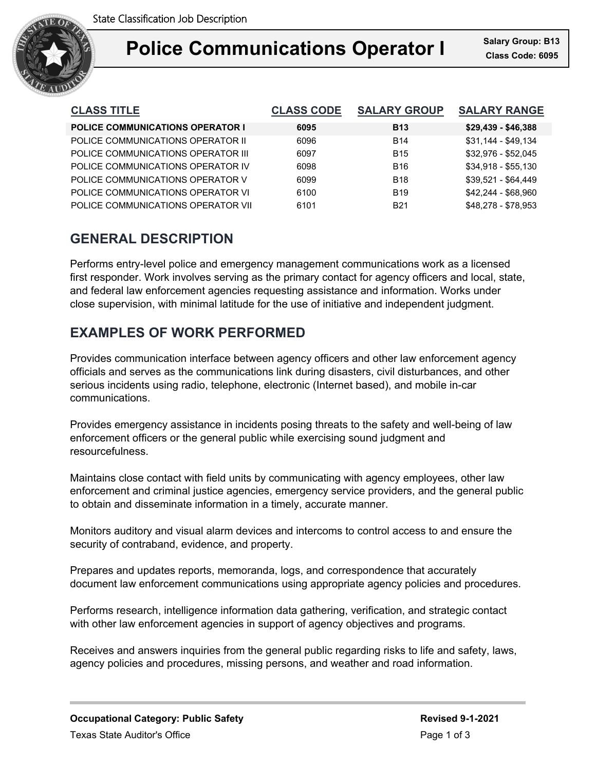

| <b>CLASS TITLE</b>                      | <b>CLASS CODE</b> | <b>SALARY GROUP</b> | <b>SALARY RANGE</b> |
|-----------------------------------------|-------------------|---------------------|---------------------|
| <b>POLICE COMMUNICATIONS OPERATOR I</b> | 6095              | <b>B13</b>          | $$29,439 - $46,388$ |
| POLICE COMMUNICATIONS OPERATOR II       | 6096              | <b>B14</b>          | $$31.144 - $49.134$ |
| POLICE COMMUNICATIONS OPERATOR III      | 6097              | <b>B15</b>          | \$32,976 - \$52,045 |
| POLICE COMMUNICATIONS OPERATOR IV       | 6098              | <b>B16</b>          | $$34.918 - $55.130$ |
| POLICE COMMUNICATIONS OPERATOR V        | 6099              | <b>B18</b>          | \$39.521 - \$64.449 |
| POLICE COMMUNICATIONS OPERATOR VI       | 6100              | <b>B19</b>          | $$42,244 - $68,960$ |
| POLICE COMMUNICATIONS OPERATOR VII      | 6101              | <b>B21</b>          | \$48.278 - \$78.953 |

## **GENERAL DESCRIPTION**

Performs entry-level police and emergency management communications work as a licensed first responder. Work involves serving as the primary contact for agency officers and local, state, and federal law enforcement agencies requesting assistance and information. Works under close supervision, with minimal latitude for the use of initiative and independent judgment.

# **EXAMPLES OF WORK PERFORMED**

Provides communication interface between agency officers and other law enforcement agency officials and serves as the communications link during disasters, civil disturbances, and other serious incidents using radio, telephone, electronic (Internet based), and mobile in-car communications.

Provides emergency assistance in incidents posing threats to the safety and well-being of law enforcement officers or the general public while exercising sound judgment and resourcefulness.

Maintains close contact with field units by communicating with agency employees, other law enforcement and criminal justice agencies, emergency service providers, and the general public to obtain and disseminate information in a timely, accurate manner.

Monitors auditory and visual alarm devices and intercoms to control access to and ensure the security of contraband, evidence, and property.

Prepares and updates reports, memoranda, logs, and correspondence that accurately document law enforcement communications using appropriate agency policies and procedures.

Performs research, intelligence information data gathering, verification, and strategic contact with other law enforcement agencies in support of agency objectives and programs.

Receives and answers inquiries from the general public regarding risks to life and safety, laws, agency policies and procedures, missing persons, and weather and road information.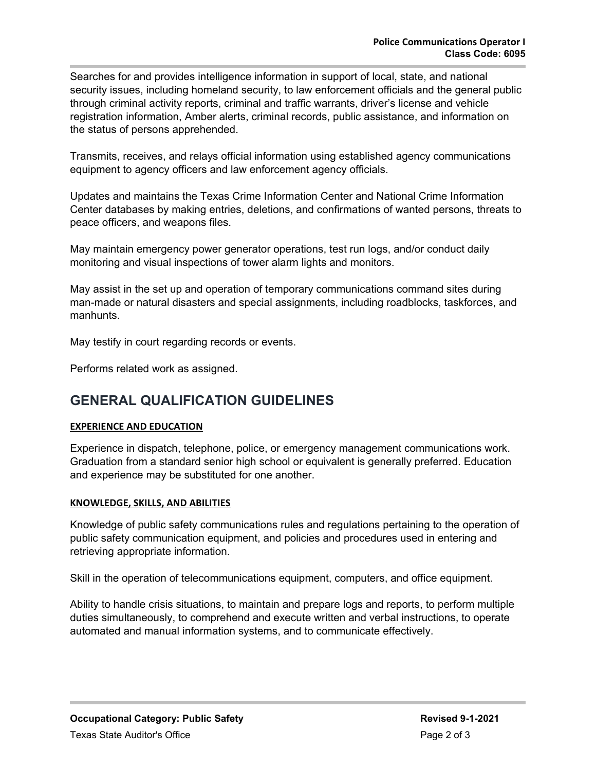Searches for and provides intelligence information in support of local, state, and national security issues, including homeland security, to law enforcement officials and the general public through criminal activity reports, criminal and traffic warrants, driver's license and vehicle registration information, Amber alerts, criminal records, public assistance, and information on the status of persons apprehended.

Transmits, receives, and relays official information using established agency communications equipment to agency officers and law enforcement agency officials.

Updates and maintains the Texas Crime Information Center and National Crime Information Center databases by making entries, deletions, and confirmations of wanted persons, threats to peace officers, and weapons files.

May maintain emergency power generator operations, test run logs, and/or conduct daily monitoring and visual inspections of tower alarm lights and monitors.

May assist in the set up and operation of temporary communications command sites during man-made or natural disasters and special assignments, including roadblocks, taskforces, and manhunts.

May testify in court regarding records or events.

Performs related work as assigned.

### **GENERAL QUALIFICATION GUIDELINES**

#### **EXPERIENCE AND EDUCATION**

Experience in dispatch, telephone, police, or emergency management communications work. Graduation from a standard senior high school or equivalent is generally preferred. Education and experience may be substituted for one another.

#### **KNOWLEDGE, SKILLS, AND ABILITIES**

Knowledge of public safety communications rules and regulations pertaining to the operation of public safety communication equipment, and policies and procedures used in entering and retrieving appropriate information.

Skill in the operation of telecommunications equipment, computers, and office equipment.

Ability to handle crisis situations, to maintain and prepare logs and reports, to perform multiple duties simultaneously, to comprehend and execute written and verbal instructions, to operate automated and manual information systems, and to communicate effectively.